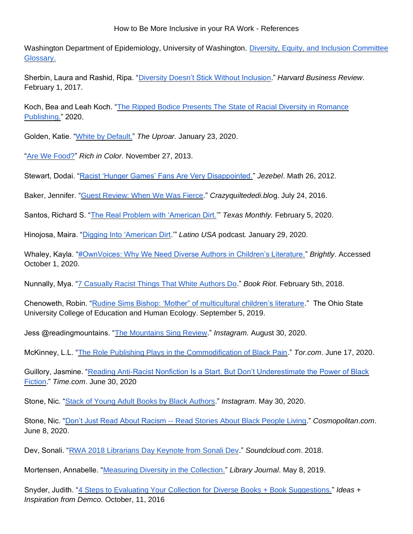Washington Department of Epidemiology, University of Washington. [Diversity, Equity, and Inclusion Committee](https://epi.washington.edu/sites/default/files/DEI%20Glossary%20Word.pdf)  [Glossary.](https://epi.washington.edu/sites/default/files/DEI%20Glossary%20Word.pdf) 

Sherbin, Laura and Rashid, Ripa. ["Diversity Doesn't Stick Without Inclusion.](https://hbr.org/2017/02/diversity-doesnt-stick-without-inclusion?referral=00563&cm_mmc=email-_-newsletter-_-daily_alert-_-alert_date&utm_source=newsletter_daily_alert&utm_medium=email&utm_campaign=alert_date&spMailingID=16466199&spUserID=MTk2NDkwMjE1NwS2&spJobID=960100237&spReportId=OTYwMTAwMjM3S0)" *Harvard Business Review*. February 1, 2017.

Koch, Bea and Leah Koch. ["The Ripped Bodice Presents The State of Racial Diversity in Romance](https://www.therippedbodicela.com/sites/therippedbodicela.com/files/2019%20Diversity%20Report%20MASTER.pdf)  [Publishing."](https://www.therippedbodicela.com/sites/therippedbodicela.com/files/2019%20Diversity%20Report%20MASTER.pdf) 2020.

Golden, Katie. ["White by Default."](https://nashuproar.org/30352/opinion/white-default/) *The Uproar.* January 23, 2020.

["Are We Food?"](http://richincolor.com/2013/11/are-we-food/) *Rich in Color.* November 27, 2013.

Stewart, Dodai. ["Racist 'Hunger Games' Fans Are Very Disappointed."](https://jezebel.com/racist-hunger-games-fans-are-very-disappointed-5896408) *Jezebel*. Math 26, 2012.

Baker, Jennifer. ["Guest Review: When We Was Fierce.](https://crazyquiltedi.blog/2016/07/24/guest-review-when-we-was-fierce/)" *Crazyquiltededi.blo*g. July 24, 2016.

Santos, Richard S. ["The Real Problem with 'American Dirt.'](https://www.texasmonthly.com/the-culture/american-dirt-book-controversy/)" *Texas Monthly.* February 5, 2020.

Hinojosa, Maira. ["Digging Into 'American Dirt.](https://www.latinousa.org/2020/01/29/americandirt/)'" *Latino USA* podcast*.* January 29, 2020.

Whaley, Kayla. ["#OwnVoices: Why We Need Diverse Authors in Children's Literature."](https://www.readbrightly.com/why-we-need-diverse-authors-in-kids-ya-lit/) *Brightly*. Accessed October 1, 2020.

Nunnally, Mya. ["7 Casually Racist Things That White Authors Do.](https://bookriot.com/casually-racist-things-that-white-authors-do/)" *Book Riot*. February 5th, 2018.

Chenoweth, Robin. ["Rudine Sims Bishop: 'Mother" of multicultural children's literature.](https://ehe.osu.edu/news/listing/rudine-sims-bishop-diverse-childrens-books/)" The Ohio State University College of Education and Human Ecology. September 5, 2019.

Jess @readingmountains. ["The Mountains Sing Review.](https://www.instagram.com/p/CEkefDnAQnq/)" *Instagram.* August 30, 2020.

McKinney, L.L. ["The Role Publishing Plays in the Commodification of Black Pain.](https://www.tor.com/2020/06/17/the-role-publishing-plays-in-the-commodification-of-black-pain/)" *Tor.com*. June 17, 2020.

Guillory, Jasmine. ["Reading Anti-Racist Nonfiction Is a Start. But Don't Underestimate the Power of Black](https://time.com/5861861/jasmine-guillory-black-fiction/)  [Fiction.](https://time.com/5861861/jasmine-guillory-black-fiction/)" *Time.com*. June 30, 2020

Stone, Nic. "Stack of Young Adult [Books by Black Authors.](https://www.instagram.com/p/CA1T78yg9dD/)" *Instagram*. May 30, 2020.

Stone, Nic. "Don't Just Read About Racism -- [Read Stories About Black People Living.](https://www.cosmopolitan.com/entertainment/books/a32770951/read-black-books-nic-stone/)" *Cosmopolitan.com*. June 8, 2020.

Dev, Sonali. ["RWA 2018 Librarians Day Keynote from Sonali Dev.](https://soundcloud.com/user-620052388/rwa-2018-librarians-day-keynote-from-sonali-dev)" *Soundcloud.com*. 2018.

Mortensen, Annabelle. ["Measuring Diversity in the Collection."](https://www.libraryjournal.com/?detailStory=Measuring-Diversity-in-the-Collection) *Library Journal*. May 8, 2019.

Snyder, Judith. ["4 Steps to Evaluating Your Collection for Diverse Books + Book Suggestions."](https://ideas.demco.com/blog/4-steps-evaluating-collection-diverse-books/) *Ideas + Inspiration from Demco.* October, 11, 2016